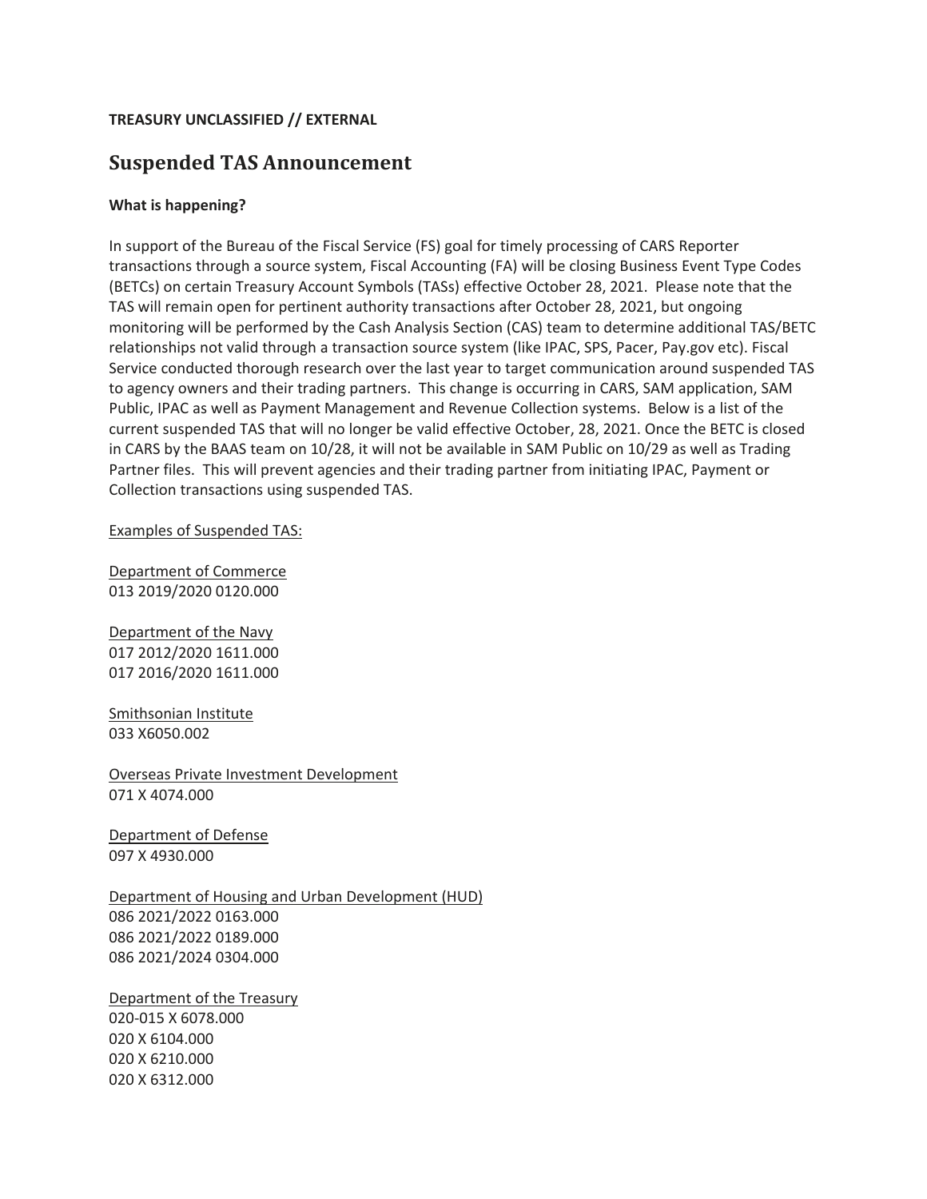## **TREASURY UNCLASSIFIED // EXTERNAL**

# **Suspended TAS Announcement**

## **What is happening?**

In support of the Bureau of the Fiscal Service (FS) goal for timely processing of CARS Reporter transactions through a source system, Fiscal Accounting (FA) will be closing Business Event Type Codes (BETCs) on certain Treasury Account Symbols (TASs) effective October 28, 2021. Please note that the TAS will remain open for pertinent authority transactions after October 28, 2021, but ongoing monitoring will be performed by the Cash Analysis Section (CAS) team to determine additional TAS/BETC relationships not valid through a transaction source system (like IPAC, SPS, Pacer, Pay.gov etc). Fiscal Service conducted thorough research over the last year to target communication around suspended TAS to agency owners and their trading partners. This change is occurring in CARS, SAM application, SAM Public, IPAC as well as Payment Management and Revenue Collection systems. Below is a list of the current suspended TAS that will no longer be valid effective October, 28, 2021. Once the BETC is closed in CARS by the BAAS team on 10/28, it will not be available in SAM Public on 10/29 as well as Trading Partner files. This will prevent agencies and their trading partner from initiating IPAC, Payment or Collection transactions using suspended TAS.

Examples of Suspended TAS:

Department of Commerce 013 2019/2020 0120.000

Department of the Navy 017 2012/2020 1611.000 017 2016/2020 1611.000

Smithsonian Institute 033 X6050.002

Overseas Private Investment Development 071 X 4074.000

Department of Defense 097 X 4930.000

Department of Housing and Urban Development (HUD) 086 2021/2022 0163.000 086 2021/2022 0189.000 086 2021/2024 0304.000

Department of the Treasury 020-015 X 6078.000 020 X 6104.000 020 X 6210.000 020 X 6312.000